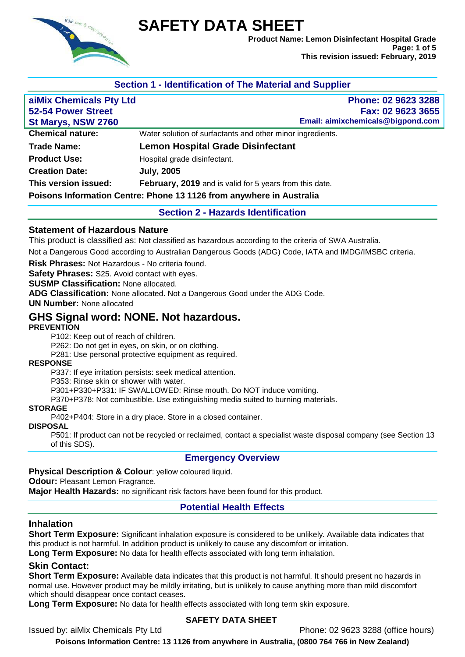

# **SAFETY DATA SHEET**

**Product Name: Lemon Disinfectant Hospital Grade Page: 1 of 5 This revision issued: February, 2019**

# **Section 1 - Identification of The Material and Supplier**

| aiMix Chemicals Pty Ltd<br>52-54 Power Street<br>St Marys, NSW 2760 | Phone: 02 9623 3288<br>Fax: 02 9623 3655<br>Email: aimixchemicals@bigpond.com |
|---------------------------------------------------------------------|-------------------------------------------------------------------------------|
| <b>Chemical nature:</b>                                             | Water solution of surfactants and other minor ingredients.                    |
| <b>Trade Name:</b>                                                  | <b>Lemon Hospital Grade Disinfectant</b>                                      |
| <b>Product Use:</b>                                                 | Hospital grade disinfectant.                                                  |
| <b>Creation Date:</b>                                               | <b>July, 2005</b>                                                             |
| This version issued:                                                | February, 2019 and is valid for 5 years from this date.                       |
|                                                                     | Poisons Information Centre: Phone 13 1126 from anywhere in Australia          |

#### **Section 2 - Hazards Identification**

#### **Statement of Hazardous Nature**

This product is classified as: Not classified as hazardous according to the criteria of SWA Australia.

Not a Dangerous Good according to Australian Dangerous Goods (ADG) Code, IATA and IMDG/IMSBC criteria.

**Risk Phrases:** Not Hazardous - No criteria found.

**Safety Phrases:** S25. Avoid contact with eyes.

**SUSMP Classification:** None allocated.

**ADG Classification:** None allocated. Not a Dangerous Good under the ADG Code.

**UN Number:** None allocated

# **GHS Signal word: NONE. Not hazardous.**

#### **PREVENTION**

P102: Keep out of reach of children.

P262: Do not get in eyes, on skin, or on clothing.

P281: Use personal protective equipment as required.

#### **RESPONSE**

P337: If eye irritation persists: seek medical attention.

P353: Rinse skin or shower with water.

P301+P330+P331: IF SWALLOWED: Rinse mouth. Do NOT induce vomiting.

P370+P378: Not combustible. Use extinguishing media suited to burning materials.

#### **STORAGE**

P402+P404: Store in a dry place. Store in a closed container.

# **DISPOSAL**

P501: If product can not be recycled or reclaimed, contact a specialist waste disposal company (see Section 13 of this SDS).

#### **Emergency Overview**

#### **Physical Description & Colour**: yellow coloured liquid.

**Odour:** Pleasant Lemon Fragrance.

**Major Health Hazards:** no significant risk factors have been found for this product.

#### **Potential Health Effects**

#### **Inhalation**

**Short Term Exposure:** Significant inhalation exposure is considered to be unlikely. Available data indicates that this product is not harmful. In addition product is unlikely to cause any discomfort or irritation.

**Long Term Exposure:** No data for health effects associated with long term inhalation.

#### **Skin Contact:**

**Short Term Exposure:** Available data indicates that this product is not harmful. It should present no hazards in normal use. However product may be mildly irritating, but is unlikely to cause anything more than mild discomfort which should disappear once contact ceases.

**Long Term Exposure:** No data for health effects associated with long term skin exposure.

#### **SAFETY DATA SHEET**

Issued by: aiMix Chemicals Pty Ltd Phone: 02 9623 3288 (office hours)

**Poisons Information Centre: 13 1126 from anywhere in Australia, (0800 764 766 in New Zealand)**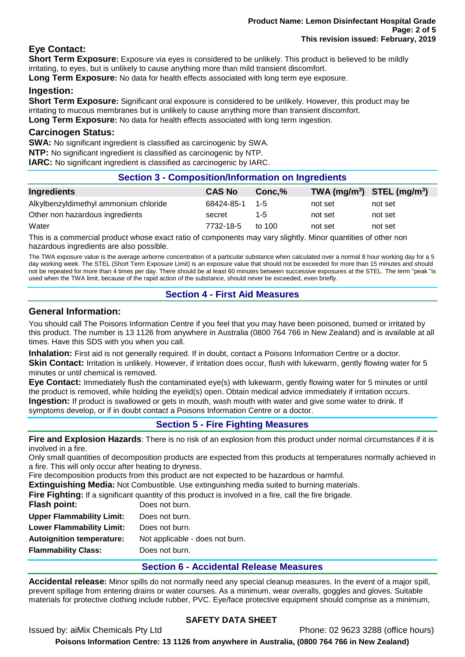# **Eye Contact:**

**Short Term Exposure:** Exposure via eyes is considered to be unlikely. This product is believed to be mildly irritating, to eyes, but is unlikely to cause anything more than mild transient discomfort.

**Long Term Exposure:** No data for health effects associated with long term eye exposure.

## **Ingestion:**

**Short Term Exposure:** Significant oral exposure is considered to be unlikely. However, this product may be irritating to mucous membranes but is unlikely to cause anything more than transient discomfort. **Long Term Exposure:** No data for health effects associated with long term ingestion.

#### **Carcinogen Status:**

**SWA:** No significant ingredient is classified as carcinogenic by SWA.

**NTP:** No significant ingredient is classified as carcinogenic by NTP.

**IARC:** No significant ingredient is classified as carcinogenic by IARC.

# **Section 3 - Composition/Information on Ingredients**

| Ingredients                           | <b>CAS No</b> | Conc.%   | TWA $(mg/m^3)$ STEL $(mg/m^3)$ |         |
|---------------------------------------|---------------|----------|--------------------------------|---------|
| Alkylbenzyldimethyl ammonium chloride | 68424-85-1    | $-1 - 5$ | not set                        | not set |
| Other non hazardous ingredients       | secret        | $1 - 5$  | not set                        | not set |
| Water                                 | 7732-18-5     | to $100$ | not set                        | not set |

This is a commercial product whose exact ratio of components may vary slightly. Minor quantities of other non hazardous ingredients are also possible.

The TWA exposure value is the average airborne concentration of a particular substance when calculated over a normal 8 hour working day for a 5 day working week. The STEL (Short Term Exposure Limit) is an exposure value that should not be exceeded for more than 15 minutes and should not be repeated for more than 4 times per day. There should be at least 60 minutes between successive exposures at the STEL. The term "peak "is used when the TWA limit, because of the rapid action of the substance, should never be exceeded, even briefly.

# **Section 4 - First Aid Measures**

## **General Information:**

You should call The Poisons Information Centre if you feel that you may have been poisoned, burned or irritated by this product. The number is 13 1126 from anywhere in Australia (0800 764 766 in New Zealand) and is available at all times. Have this SDS with you when you call.

**Inhalation:** First aid is not generally required. If in doubt, contact a Poisons Information Centre or a doctor.

**Skin Contact:** Irritation is unlikely. However, if irritation does occur, flush with lukewarm, gently flowing water for 5 minutes or until chemical is removed.

**Eye Contact:** Immediately flush the contaminated eye(s) with lukewarm, gently flowing water for 5 minutes or until the product is removed, while holding the eyelid(s) open. Obtain medical advice immediately if irritation occurs. **Ingestion:** If product is swallowed or gets in mouth, wash mouth with water and give some water to drink. If symptoms develop, or if in doubt contact a Poisons Information Centre or a doctor.

**Section 5 - Fire Fighting Measures**

**Fire and Explosion Hazards**: There is no risk of an explosion from this product under normal circumstances if it is involved in a fire.

Only small quantities of decomposition products are expected from this products at temperatures normally achieved in a fire. This will only occur after heating to dryness.

Fire decomposition products from this product are not expected to be hazardous or harmful.

**Extinguishing Media:** Not Combustible. Use extinguishing media suited to burning materials.

**Fire Fighting:** If a significant quantity of this product is involved in a fire, call the fire brigade.

| Flash point:                     | Does not burn.                  |
|----------------------------------|---------------------------------|
| <b>Upper Flammability Limit:</b> | Does not burn.                  |
| <b>Lower Flammability Limit:</b> | Does not burn.                  |
| <b>Autoignition temperature:</b> | Not applicable - does not burn. |
| <b>Flammability Class:</b>       | Does not burn.                  |
|                                  |                                 |

# **Section 6 - Accidental Release Measures**

**Accidental release:** Minor spills do not normally need any special cleanup measures. In the event of a major spill, prevent spillage from entering drains or water courses. As a minimum, wear overalls, goggles and gloves. Suitable materials for protective clothing include rubber, PVC. Eye/face protective equipment should comprise as a minimum,

# **SAFETY DATA SHEET**

Issued by: aiMix Chemicals Pty Ltd Phone: 02 9623 3288 (office hours)

**Poisons Information Centre: 13 1126 from anywhere in Australia, (0800 764 766 in New Zealand)**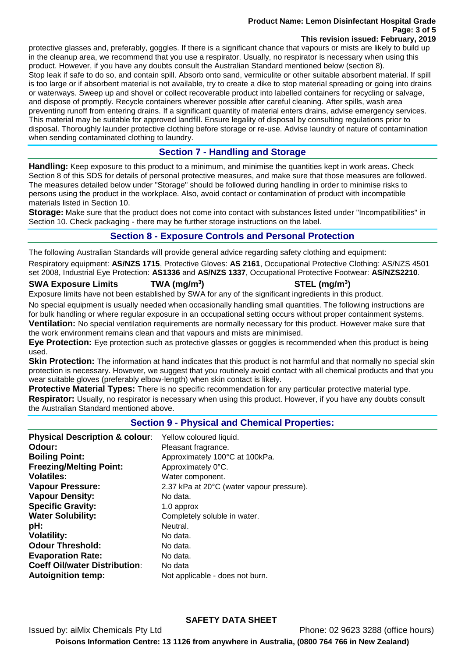#### **Product Name: Lemon Disinfectant Hospital Grade Page: 3 of 5 This revision issued: February, 2019**

protective glasses and, preferably, goggles. If there is a significant chance that vapours or mists are likely to build up in the cleanup area, we recommend that you use a respirator. Usually, no respirator is necessary when using this product. However, if you have any doubts consult the Australian Standard mentioned below (section 8). Stop leak if safe to do so, and contain spill. Absorb onto sand, vermiculite or other suitable absorbent material. If spill is too large or if absorbent material is not available, try to create a dike to stop material spreading or going into drains or waterways. Sweep up and shovel or collect recoverable product into labelled containers for recycling or salvage, and dispose of promptly. Recycle containers wherever possible after careful cleaning. After spills, wash area preventing runoff from entering drains. If a significant quantity of material enters drains, advise emergency services. This material may be suitable for approved landfill. Ensure legality of disposal by consulting regulations prior to disposal. Thoroughly launder protective clothing before storage or re-use. Advise laundry of nature of contamination when sending contaminated clothing to laundry.

# **Section 7 - Handling and Storage**

**Handling:** Keep exposure to this product to a minimum, and minimise the quantities kept in work areas. Check Section 8 of this SDS for details of personal protective measures, and make sure that those measures are followed. The measures detailed below under "Storage" should be followed during handling in order to minimise risks to persons using the product in the workplace. Also, avoid contact or contamination of product with incompatible materials listed in Section 10.

**Storage:** Make sure that the product does not come into contact with substances listed under "Incompatibilities" in Section 10. Check packaging - there may be further storage instructions on the label.

# **Section 8 - Exposure Controls and Personal Protection**

The following Australian Standards will provide general advice regarding safety clothing and equipment:

Respiratory equipment: **AS/NZS 1715**, Protective Gloves: **AS 2161**, Occupational Protective Clothing: AS/NZS 4501 set 2008, Industrial Eye Protection: **AS1336** and **AS/NZS 1337**, Occupational Protective Footwear: **AS/NZS2210**.

## **SWA Exposure Limits TWA (mg/m<sup>3</sup>**

# **) STEL (mg/m<sup>3</sup> )**

Exposure limits have not been established by SWA for any of the significant ingredients in this product.

No special equipment is usually needed when occasionally handling small quantities. The following instructions are for bulk handling or where regular exposure in an occupational setting occurs without proper containment systems. **Ventilation:** No special ventilation requirements are normally necessary for this product. However make sure that the work environment remains clean and that vapours and mists are minimised.

**Eye Protection:** Eye protection such as protective glasses or goggles is recommended when this product is being used.

**Skin Protection:** The information at hand indicates that this product is not harmful and that normally no special skin protection is necessary. However, we suggest that you routinely avoid contact with all chemical products and that you wear suitable gloves (preferably elbow-length) when skin contact is likely.

**Protective Material Types:** There is no specific recommendation for any particular protective material type. **Respirator:** Usually, no respirator is necessary when using this product. However, if you have any doubts consult the Australian Standard mentioned above.

# **Section 9 - Physical and Chemical Properties:**

| <b>Physical Description &amp; colour:</b><br>Odour:<br><b>Boiling Point:</b> | Yellow coloured liquid.<br>Pleasant fragrance.<br>Approximately 100°C at 100kPa. |
|------------------------------------------------------------------------------|----------------------------------------------------------------------------------|
| <b>Freezing/Melting Point:</b>                                               | Approximately 0°C.                                                               |
| <b>Volatiles:</b>                                                            | Water component.                                                                 |
| <b>Vapour Pressure:</b>                                                      | 2.37 kPa at 20°C (water vapour pressure).                                        |
| <b>Vapour Density:</b>                                                       | No data.                                                                         |
| <b>Specific Gravity:</b>                                                     | 1.0 approx                                                                       |
| <b>Water Solubility:</b>                                                     | Completely soluble in water.                                                     |
| pH:                                                                          | Neutral.                                                                         |
| <b>Volatility:</b>                                                           | No data.                                                                         |
| <b>Odour Threshold:</b>                                                      | No data.                                                                         |
| <b>Evaporation Rate:</b>                                                     | No data.                                                                         |
| <b>Coeff Oil/water Distribution:</b>                                         | No data                                                                          |
| <b>Autoignition temp:</b>                                                    | Not applicable - does not burn.                                                  |

# **SAFETY DATA SHEET**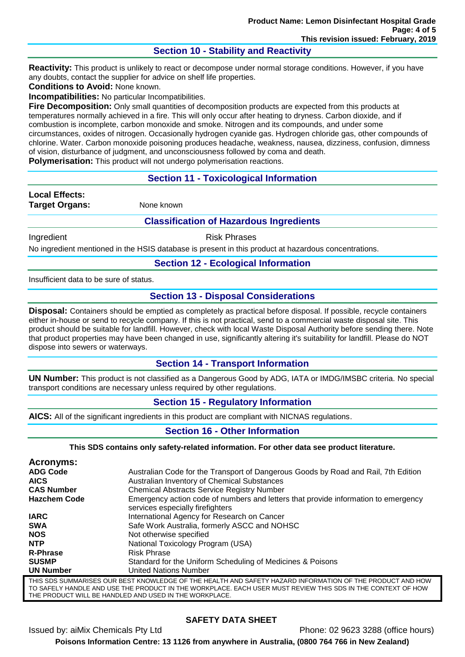## **Section 10 - Stability and Reactivity**

**Reactivity:** This product is unlikely to react or decompose under normal storage conditions. However, if you have any doubts, contact the supplier for advice on shelf life properties.

**Conditions to Avoid:** None known.

**Incompatibilities:** No particular Incompatibilities.

**Fire Decomposition:** Only small quantities of decomposition products are expected from this products at temperatures normally achieved in a fire. This will only occur after heating to dryness. Carbon dioxide, and if combustion is incomplete, carbon monoxide and smoke. Nitrogen and its compounds, and under some circumstances, oxides of nitrogen. Occasionally hydrogen cyanide gas. Hydrogen chloride gas, other compounds of chlorine. Water. Carbon monoxide poisoning produces headache, weakness, nausea, dizziness, confusion, dimness of vision, disturbance of judgment, and unconsciousness followed by coma and death.

**Polymerisation:** This product will not undergo polymerisation reactions.

## **Section 11 - Toxicological Information**

**Local Effects: Target Organs:** None known

#### **Classification of Hazardous Ingredients**

Ingredient **Risk Phrases** 

No ingredient mentioned in the HSIS database is present in this product at hazardous concentrations.

#### **Section 12 - Ecological Information**

Insufficient data to be sure of status.

## **Section 13 - Disposal Considerations**

**Disposal:** Containers should be emptied as completely as practical before disposal. If possible, recycle containers either in-house or send to recycle company. If this is not practical, send to a commercial waste disposal site. This product should be suitable for landfill. However, check with local Waste Disposal Authority before sending there. Note that product properties may have been changed in use, significantly altering it's suitability for landfill. Please do NOT dispose into sewers or waterways.

#### **Section 14 - Transport Information**

**UN Number:** This product is not classified as a Dangerous Good by ADG, IATA or IMDG/IMSBC criteria. No special transport conditions are necessary unless required by other regulations.

#### **Section 15 - Regulatory Information**

**AICS:** All of the significant ingredients in this product are compliant with NICNAS regulations.

#### **Section 16 - Other Information**

**This SDS contains only safety-related information. For other data see product literature.**

| Acronyms:           |                                                                                                                        |
|---------------------|------------------------------------------------------------------------------------------------------------------------|
| <b>ADG Code</b>     | Australian Code for the Transport of Dangerous Goods by Road and Rail, 7th Edition                                     |
| <b>AICS</b>         | Australian Inventory of Chemical Substances                                                                            |
| <b>CAS Number</b>   | <b>Chemical Abstracts Service Registry Number</b>                                                                      |
| <b>Hazchem Code</b> | Emergency action code of numbers and letters that provide information to emergency<br>services especially firefighters |
| <b>IARC</b>         | International Agency for Research on Cancer                                                                            |
| <b>SWA</b>          | Safe Work Australia, formerly ASCC and NOHSC                                                                           |
| <b>NOS</b>          | Not otherwise specified                                                                                                |
| <b>NTP</b>          | National Toxicology Program (USA)                                                                                      |
| <b>R-Phrase</b>     | <b>Risk Phrase</b>                                                                                                     |
| <b>SUSMP</b>        | Standard for the Uniform Scheduling of Medicines & Poisons                                                             |
| <b>UN Number</b>    | <b>United Nations Number</b>                                                                                           |
|                     | THIS SDS SUMMARISES OUR BEST KNOWLEDGE OF THE HEALTH AND SAFETY HAZARD INFORMATION OF THE PRODUCT AND HOV              |

THIS SDS SUMMARISES OUR BEST KNOWLEDGE OF THE HEALTH AND SAFETY HAZARD INFORMATION OF THE PRODUCT AND HOW TO SAFELY HANDLE AND USE THE PRODUCT IN THE WORKPLACE. EACH USER MUST REVIEW THIS SDS IN THE CONTEXT OF HOW THE PRODUCT WILL BE HANDLED AND USED IN THE WORKPLACE.

# **SAFETY DATA SHEET**

Issued by: aiMix Chemicals Pty Ltd Phone: 02 9623 3288 (office hours) **Poisons Information Centre: 13 1126 from anywhere in Australia, (0800 764 766 in New Zealand)**